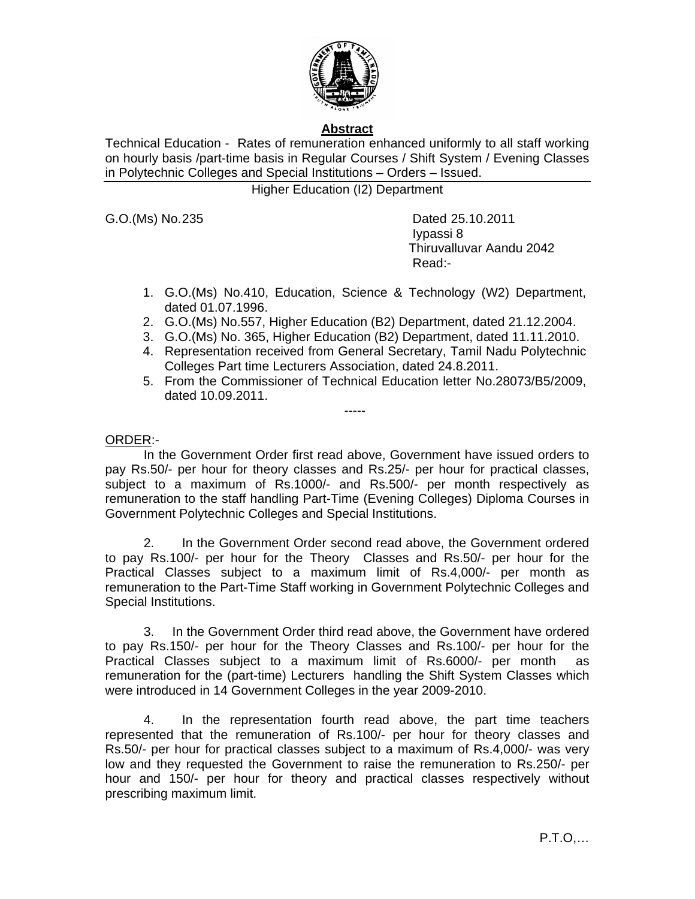

# **Abstract**

Technical Education - Rates of remuneration enhanced uniformly to all staff working on hourly basis /part-time basis in Regular Courses / Shift System / Evening Classes in Polytechnic Colleges and Special Institutions – Orders – Issued.

Higher Education (I2) Department

G.O. (Ms) No. 235 Dated 25.10.2011 Iypassi 8 Thiruvalluvar Aandu 2042 Read:-

- 1. G.O.(Ms) No.410, Education, Science & Technology (W2) Department, dated 01.07.1996.
- 2. G.O.(Ms) No.557, Higher Education (B2) Department, dated 21.12.2004.
- 3. G.O.(Ms) No. 365, Higher Education (B2) Department, dated 11.11.2010.
- 4. Representation received from General Secretary, Tamil Nadu Polytechnic Colleges Part time Lecturers Association, dated 24.8.2011.
- 5. From the Commissioner of Technical Education letter No.28073/B5/2009, dated 10.09.2011.

-----

# ORDER:-

In the Government Order first read above, Government have issued orders to pay Rs.50/- per hour for theory classes and Rs.25/- per hour for practical classes, subject to a maximum of Rs.1000/- and Rs.500/- per month respectively as remuneration to the staff handling Part-Time (Evening Colleges) Diploma Courses in Government Polytechnic Colleges and Special Institutions.

 2. In the Government Order second read above, the Government ordered to pay Rs.100/- per hour for the Theory Classes and Rs.50/- per hour for the Practical Classes subject to a maximum limit of Rs.4,000/- per month as remuneration to the Part-Time Staff working in Government Polytechnic Colleges and Special Institutions.

 3. In the Government Order third read above, the Government have ordered to pay Rs.150/- per hour for the Theory Classes and Rs.100/- per hour for the Practical Classes subject to a maximum limit of Rs.6000/- per month as remuneration for the (part-time) Lecturers handling the Shift System Classes which were introduced in 14 Government Colleges in the year 2009-2010.

 4. In the representation fourth read above, the part time teachers represented that the remuneration of Rs.100/- per hour for theory classes and Rs.50/- per hour for practical classes subject to a maximum of Rs.4,000/- was very low and they requested the Government to raise the remuneration to Rs.250/- per hour and 150/- per hour for theory and practical classes respectively without prescribing maximum limit.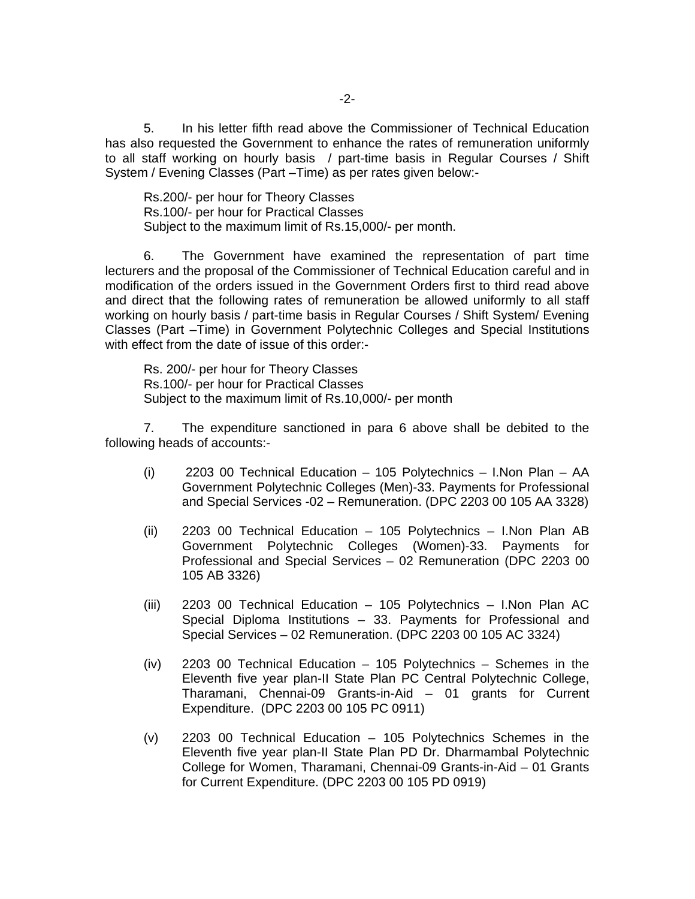5. In his letter fifth read above the Commissioner of Technical Education has also requested the Government to enhance the rates of remuneration uniformly to all staff working on hourly basis / part-time basis in Regular Courses / Shift System / Evening Classes (Part –Time) as per rates given below:-

Rs.200/- per hour for Theory Classes Rs.100/- per hour for Practical Classes Subject to the maximum limit of Rs.15,000/- per month.

6. The Government have examined the representation of part time lecturers and the proposal of the Commissioner of Technical Education careful and in modification of the orders issued in the Government Orders first to third read above and direct that the following rates of remuneration be allowed uniformly to all staff working on hourly basis / part-time basis in Regular Courses / Shift System/ Evening Classes (Part –Time) in Government Polytechnic Colleges and Special Institutions with effect from the date of issue of this order:-

Rs. 200/- per hour for Theory Classes Rs.100/- per hour for Practical Classes Subject to the maximum limit of Rs.10,000/- per month

 7. The expenditure sanctioned in para 6 above shall be debited to the following heads of accounts:-

- (i) 2203 00 Technical Education 105 Polytechnics I.Non Plan AA Government Polytechnic Colleges (Men)-33. Payments for Professional and Special Services -02 – Remuneration. (DPC 2203 00 105 AA 3328)
- (ii) 2203 00 Technical Education 105 Polytechnics I.Non Plan AB Government Polytechnic Colleges (Women)-33. Payments for Professional and Special Services – 02 Remuneration (DPC 2203 00 105 AB 3326)
- (iii) 2203 00 Technical Education 105 Polytechnics I.Non Plan AC Special Diploma Institutions – 33. Payments for Professional and Special Services – 02 Remuneration. (DPC 2203 00 105 AC 3324)
- (iv) 2203 00 Technical Education 105 Polytechnics Schemes in the Eleventh five year plan-II State Plan PC Central Polytechnic College, Tharamani, Chennai-09 Grants-in-Aid – 01 grants for Current Expenditure. (DPC 2203 00 105 PC 0911)
- (v) 2203 00 Technical Education 105 Polytechnics Schemes in the Eleventh five year plan-II State Plan PD Dr. Dharmambal Polytechnic College for Women, Tharamani, Chennai-09 Grants-in-Aid – 01 Grants for Current Expenditure. (DPC 2203 00 105 PD 0919)